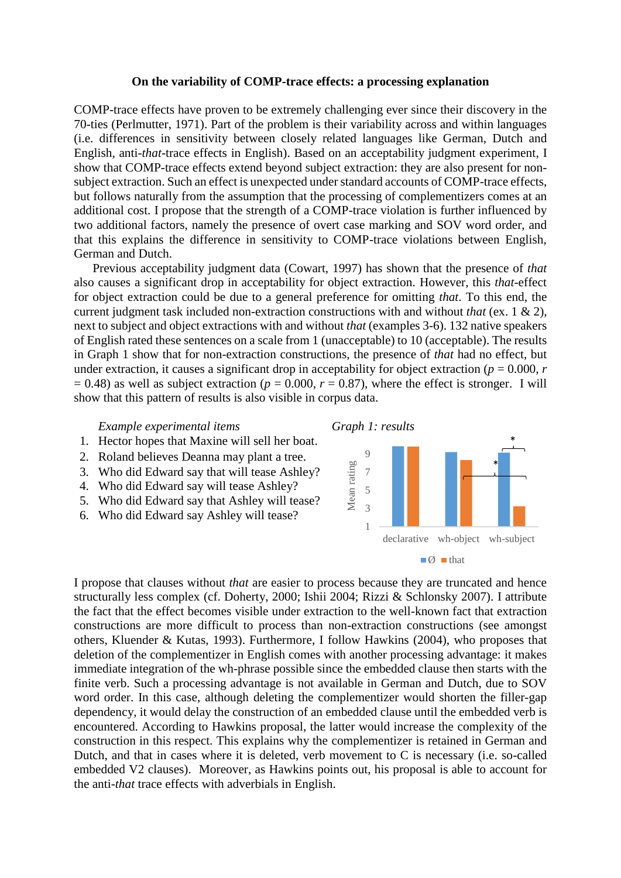## **On the variability of COMP-trace effects: a processing explanation**

COMP-trace effects have proven to be extremely challenging ever since their discovery in the 70-ties (Perlmutter, 1971). Part of the problem is their variability across and within languages (i.e. differences in sensitivity between closely related languages like German, Dutch and English, anti-*that*-trace effects in English). Based on an acceptability judgment experiment, I show that COMP-trace effects extend beyond subject extraction: they are also present for nonsubject extraction. Such an effect is unexpected under standard accounts of COMP-trace effects, but follows naturally from the assumption that the processing of complementizers comes at an additional cost. I propose that the strength of a COMP-trace violation is further influenced by two additional factors, namely the presence of overt case marking and SOV word order, and that this explains the difference in sensitivity to COMP-trace violations between English, German and Dutch.

Previous acceptability judgment data (Cowart, 1997) has shown that the presence of *that* also causes a significant drop in acceptability for object extraction. However, this *that*-effect for object extraction could be due to a general preference for omitting *that*. To this end, the current judgment task included non-extraction constructions with and without *that* (ex. 1 & 2), next to subject and object extractions with and without *that* (examples 3-6). 132 native speakers of English rated these sentences on a scale from 1 (unacceptable) to 10 (acceptable). The results in Graph 1 show that for non-extraction constructions, the presence of *that* had no effect, but under extraction, it causes a significant drop in acceptability for object extraction ( $p = 0.000$ ,  $r = 0.000$ )  $= 0.48$ ) as well as subject extraction ( $p = 0.000$ ,  $r = 0.87$ ), where the effect is stronger. I will show that this pattern of results is also visible in corpus data.

*Example experimental items Graph 1: results*

- 1. Hector hopes that Maxine will sell her boat.
- 2. Roland believes Deanna may plant a tree.
- 3. Who did Edward say that will tease Ashley?
- 4. Who did Edward say will tease Ashley?
- 5. Who did Edward say that Ashley will tease?
- 6. Who did Edward say Ashley will tease?



I propose that clauses without *that* are easier to process because they are truncated and hence structurally less complex (cf. Doherty, 2000; Ishii 2004; Rizzi & Schlonsky 2007). I attribute the fact that the effect becomes visible under extraction to the well-known fact that extraction constructions are more difficult to process than non-extraction constructions (see amongst others, Kluender & Kutas, 1993). Furthermore, I follow Hawkins (2004), who proposes that deletion of the complementizer in English comes with another processing advantage: it makes immediate integration of the wh-phrase possible since the embedded clause then starts with the finite verb. Such a processing advantage is not available in German and Dutch, due to SOV word order. In this case, although deleting the complementizer would shorten the filler-gap dependency, it would delay the construction of an embedded clause until the embedded verb is encountered. According to Hawkins proposal, the latter would increase the complexity of the construction in this respect. This explains why the complementizer is retained in German and Dutch, and that in cases where it is deleted, verb movement to C is necessary (i.e. so-called embedded V2 clauses). Moreover, as Hawkins points out, his proposal is able to account for the anti-*that* trace effects with adverbials in English.